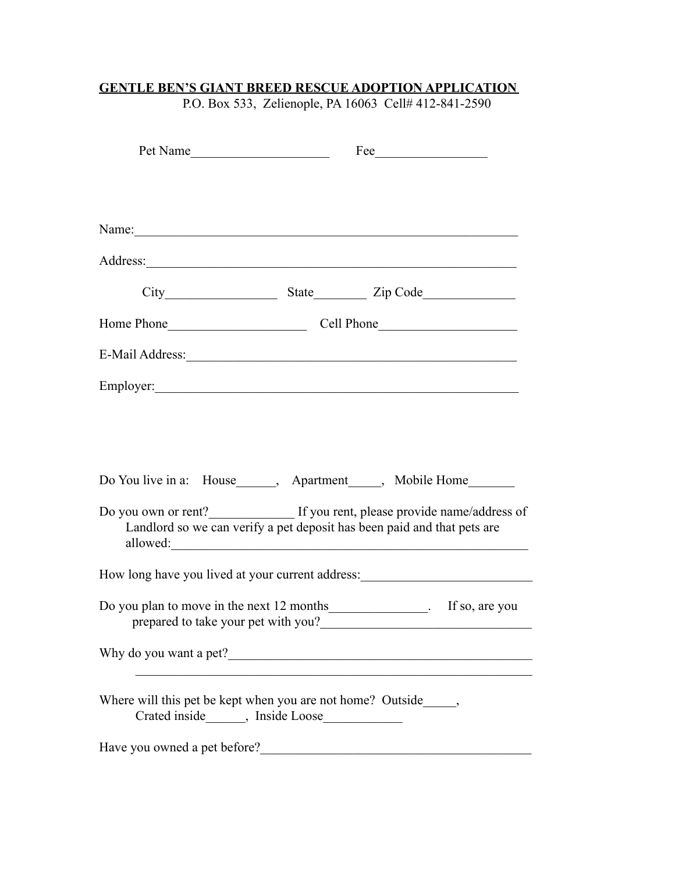| Pet Name                                                                                                                                           |  |                                                                                                                                                                                                                                |  |  |
|----------------------------------------------------------------------------------------------------------------------------------------------------|--|--------------------------------------------------------------------------------------------------------------------------------------------------------------------------------------------------------------------------------|--|--|
|                                                                                                                                                    |  |                                                                                                                                                                                                                                |  |  |
|                                                                                                                                                    |  | Name: Name: Name: Name: Name: Name: Name: Name: Name: Name: Name: Name: Name: Name: Name: Name: Name: Name: Name: Name: Name: Name: Name: Name: Name: Name: Name: Name: Name: Name: Name: Name: Name: Name: Name: Name: Name:  |  |  |
|                                                                                                                                                    |  |                                                                                                                                                                                                                                |  |  |
|                                                                                                                                                    |  |                                                                                                                                                                                                                                |  |  |
|                                                                                                                                                    |  |                                                                                                                                                                                                                                |  |  |
|                                                                                                                                                    |  | E-Mail Address: 2008. [1] Annual Address: 2008. [1] Annual Address: 2008. [1] Annual Address: 2008. [1] Annual Address: 2008. [1] Annual Address: 2008. [1] Annual Address: 2008. [1] Annual Address: 2008. [1] Annual Address |  |  |
|                                                                                                                                                    |  |                                                                                                                                                                                                                                |  |  |
| Do You live in a: House______, Apartment_____, Mobile Home_______<br>Do you own or rent?______________ If you rent, please provide name/address of |  |                                                                                                                                                                                                                                |  |  |
|                                                                                                                                                    |  | Landlord so we can verify a pet deposit has been paid and that pets are                                                                                                                                                        |  |  |
|                                                                                                                                                    |  | How long have you lived at your current address:                                                                                                                                                                               |  |  |
| Do you plan to move in the next 12 months _______________. If so, are you<br>prepared to take your pet with you?                                   |  |                                                                                                                                                                                                                                |  |  |
|                                                                                                                                                    |  |                                                                                                                                                                                                                                |  |  |
| Where will this pet be kept when you are not home? Outside______,                                                                                  |  |                                                                                                                                                                                                                                |  |  |
| Have you owned a pet before?                                                                                                                       |  |                                                                                                                                                                                                                                |  |  |

# **GENTLE BEN'S GIANT BREED RESCUE ADOPTION APPLICATION**

P.O. Box 533, Zelienople, PA 16063 Cell# 412-841-2590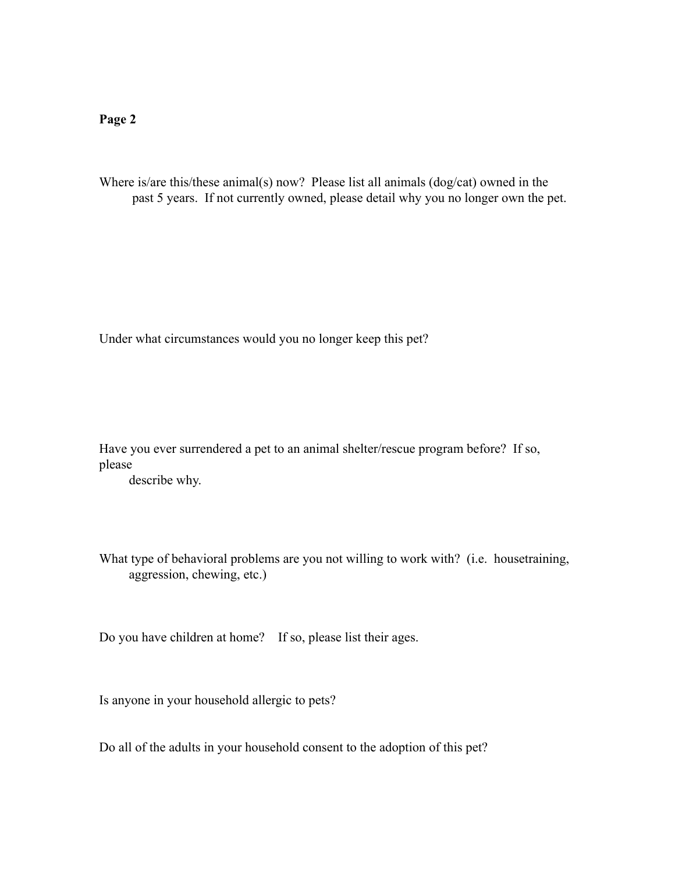Where is/are this/these animal(s) now? Please list all animals (dog/cat) owned in the past 5 years. If not currently owned, please detail why you no longer own the pet.

Under what circumstances would you no longer keep this pet?

Have you ever surrendered a pet to an animal shelter/rescue program before? If so, please

describe why.

What type of behavioral problems are you not willing to work with? (i.e. house training, aggression, chewing, etc.)

Do you have children at home? If so, please list their ages.

Is anyone in your household allergic to pets?

Do all of the adults in your household consent to the adoption of this pet?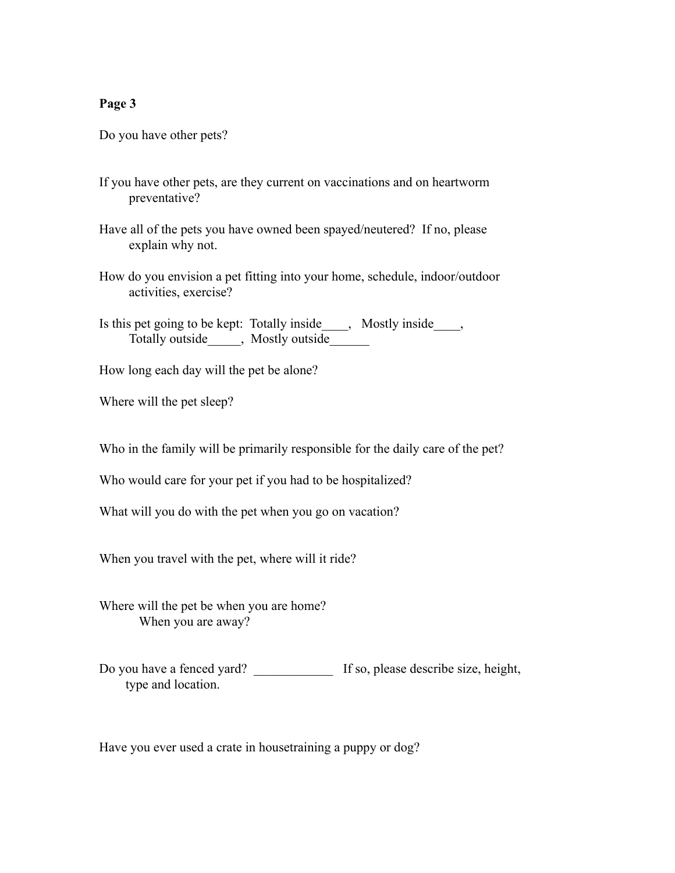Do you have other pets?

- If you have other pets, are they current on vaccinations and on heartworm preventative?
- Have all of the pets you have owned been spayed/neutered? If no, please explain why not.
- How do you envision a pet fitting into your home, schedule, indoor/outdoor activities, exercise?
- Is this pet going to be kept: Totally inside , Mostly inside , Totally outside\_\_\_\_, Mostly outside\_\_\_\_\_\_
- How long each day will the pet be alone?
- Where will the pet sleep?

Who in the family will be primarily responsible for the daily care of the pet?

Who would care for your pet if you had to be hospitalized?

What will you do with the pet when you go on vacation?

When you travel with the pet, where will it ride?

Where will the pet be when you are home? When you are away?

Do you have a fenced yard? If so, please describe size, height, type and location.

Have you ever used a crate in housetraining a puppy or dog?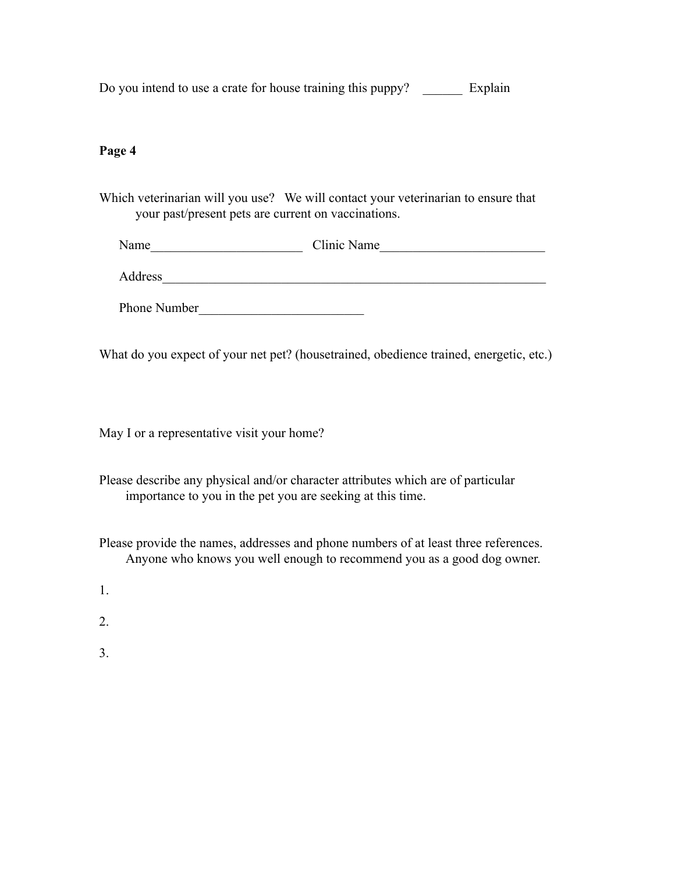| Do you intend to use a crate for house training this puppy? |  | Explain |
|-------------------------------------------------------------|--|---------|
|                                                             |  |         |

Which veterinarian will you use? We will contact your veterinarian to ensure that your past/present pets are current on vaccinations.

| Name    | Clinic Name |
|---------|-------------|
|         |             |
| Address |             |

Phone Number

What do you expect of your net pet? (housetrained, obedience trained, energetic, etc.)

May I or a representative visit your home?

Please describe any physical and/or character attributes which are of particular importance to you in the pet you are seeking at this time.

Please provide the names, addresses and phone numbers of at least three references. Anyone who knows you well enough to recommend you as a good dog owner.

1.

2.

3.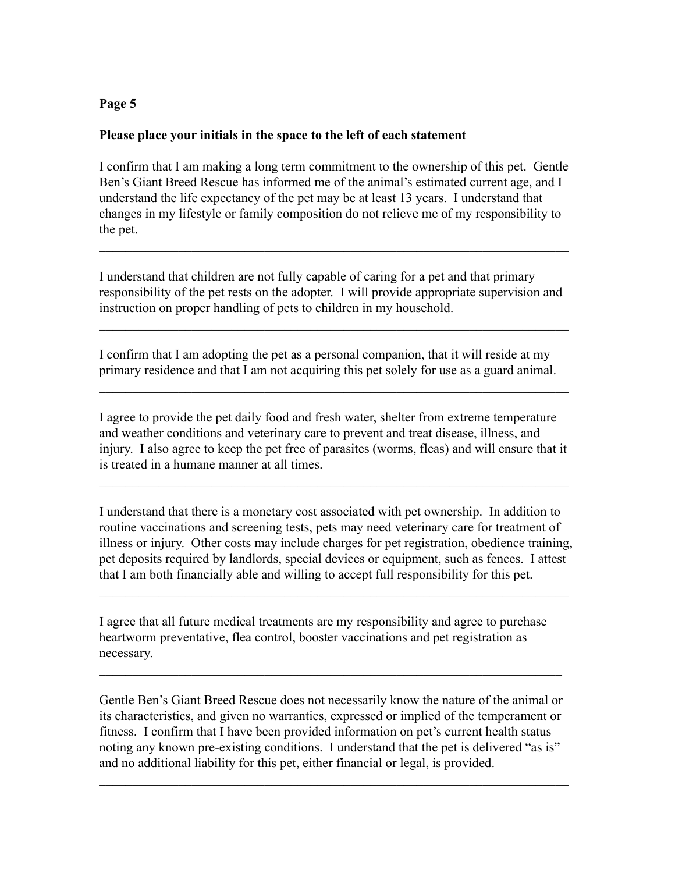### **Please place your initials in the space to the left of each statement**

I confirm that I am making a long term commitment to the ownership of this pet. Gentle Ben's Giant Breed Rescue has informed me of the animal's estimated current age, and I understand the life expectancy of the pet may be at least 13 years. I understand that changes in my lifestyle or family composition do not relieve me of my responsibility to the pet.

 $\mathcal{L}_\text{max} = \mathcal{L}_\text{max} = \mathcal{L}_\text{max} = \mathcal{L}_\text{max} = \mathcal{L}_\text{max} = \mathcal{L}_\text{max} = \mathcal{L}_\text{max} = \mathcal{L}_\text{max} = \mathcal{L}_\text{max} = \mathcal{L}_\text{max} = \mathcal{L}_\text{max} = \mathcal{L}_\text{max} = \mathcal{L}_\text{max} = \mathcal{L}_\text{max} = \mathcal{L}_\text{max} = \mathcal{L}_\text{max} = \mathcal{L}_\text{max} = \mathcal{L}_\text{max} = \mathcal{$ 

I understand that children are not fully capable of caring for a pet and that primary responsibility of the pet rests on the adopter. I will provide appropriate supervision and instruction on proper handling of pets to children in my household.

 $\mathcal{L}_\text{max} = \mathcal{L}_\text{max} = \mathcal{L}_\text{max} = \mathcal{L}_\text{max} = \mathcal{L}_\text{max} = \mathcal{L}_\text{max} = \mathcal{L}_\text{max} = \mathcal{L}_\text{max} = \mathcal{L}_\text{max} = \mathcal{L}_\text{max} = \mathcal{L}_\text{max} = \mathcal{L}_\text{max} = \mathcal{L}_\text{max} = \mathcal{L}_\text{max} = \mathcal{L}_\text{max} = \mathcal{L}_\text{max} = \mathcal{L}_\text{max} = \mathcal{L}_\text{max} = \mathcal{$ 

I confirm that I am adopting the pet as a personal companion, that it will reside at my primary residence and that I am not acquiring this pet solely for use as a guard animal.

 $\mathcal{L}_\text{max} = \mathcal{L}_\text{max} = \mathcal{L}_\text{max} = \mathcal{L}_\text{max} = \mathcal{L}_\text{max} = \mathcal{L}_\text{max} = \mathcal{L}_\text{max} = \mathcal{L}_\text{max} = \mathcal{L}_\text{max} = \mathcal{L}_\text{max} = \mathcal{L}_\text{max} = \mathcal{L}_\text{max} = \mathcal{L}_\text{max} = \mathcal{L}_\text{max} = \mathcal{L}_\text{max} = \mathcal{L}_\text{max} = \mathcal{L}_\text{max} = \mathcal{L}_\text{max} = \mathcal{$ 

I agree to provide the pet daily food and fresh water, shelter from extreme temperature and weather conditions and veterinary care to prevent and treat disease, illness, and injury. I also agree to keep the pet free of parasites (worms, fleas) and will ensure that it is treated in a humane manner at all times.

 $\mathcal{L}_\text{max} = \mathcal{L}_\text{max} = \mathcal{L}_\text{max} = \mathcal{L}_\text{max} = \mathcal{L}_\text{max} = \mathcal{L}_\text{max} = \mathcal{L}_\text{max} = \mathcal{L}_\text{max} = \mathcal{L}_\text{max} = \mathcal{L}_\text{max} = \mathcal{L}_\text{max} = \mathcal{L}_\text{max} = \mathcal{L}_\text{max} = \mathcal{L}_\text{max} = \mathcal{L}_\text{max} = \mathcal{L}_\text{max} = \mathcal{L}_\text{max} = \mathcal{L}_\text{max} = \mathcal{$ 

I understand that there is a monetary cost associated with pet ownership. In addition to routine vaccinations and screening tests, pets may need veterinary care for treatment of illness or injury. Other costs may include charges for pet registration, obedience training, pet deposits required by landlords, special devices or equipment, such as fences. I attest that I am both financially able and willing to accept full responsibility for this pet.

 $\mathcal{L}_\text{max} = \mathcal{L}_\text{max} = \mathcal{L}_\text{max} = \mathcal{L}_\text{max} = \mathcal{L}_\text{max} = \mathcal{L}_\text{max} = \mathcal{L}_\text{max} = \mathcal{L}_\text{max} = \mathcal{L}_\text{max} = \mathcal{L}_\text{max} = \mathcal{L}_\text{max} = \mathcal{L}_\text{max} = \mathcal{L}_\text{max} = \mathcal{L}_\text{max} = \mathcal{L}_\text{max} = \mathcal{L}_\text{max} = \mathcal{L}_\text{max} = \mathcal{L}_\text{max} = \mathcal{$ 

I agree that all future medical treatments are my responsibility and agree to purchase heartworm preventative, flea control, booster vaccinations and pet registration as necessary.

Gentle Ben's Giant Breed Rescue does not necessarily know the nature of the animal or its characteristics, and given no warranties, expressed or implied of the temperament or fitness. I confirm that I have been provided information on pet's current health status noting any known pre-existing conditions. I understand that the pet is delivered "as is" and no additional liability for this pet, either financial or legal, is provided.

 $\mathcal{L}_\text{max} = \mathcal{L}_\text{max} = \mathcal{L}_\text{max} = \mathcal{L}_\text{max} = \mathcal{L}_\text{max} = \mathcal{L}_\text{max} = \mathcal{L}_\text{max} = \mathcal{L}_\text{max} = \mathcal{L}_\text{max} = \mathcal{L}_\text{max} = \mathcal{L}_\text{max} = \mathcal{L}_\text{max} = \mathcal{L}_\text{max} = \mathcal{L}_\text{max} = \mathcal{L}_\text{max} = \mathcal{L}_\text{max} = \mathcal{L}_\text{max} = \mathcal{L}_\text{max} = \mathcal{$ 

 $\mathcal{L}_\text{max} = \mathcal{L}_\text{max} = \mathcal{L}_\text{max} = \mathcal{L}_\text{max} = \mathcal{L}_\text{max} = \mathcal{L}_\text{max} = \mathcal{L}_\text{max} = \mathcal{L}_\text{max} = \mathcal{L}_\text{max} = \mathcal{L}_\text{max} = \mathcal{L}_\text{max} = \mathcal{L}_\text{max} = \mathcal{L}_\text{max} = \mathcal{L}_\text{max} = \mathcal{L}_\text{max} = \mathcal{L}_\text{max} = \mathcal{L}_\text{max} = \mathcal{L}_\text{max} = \mathcal{$